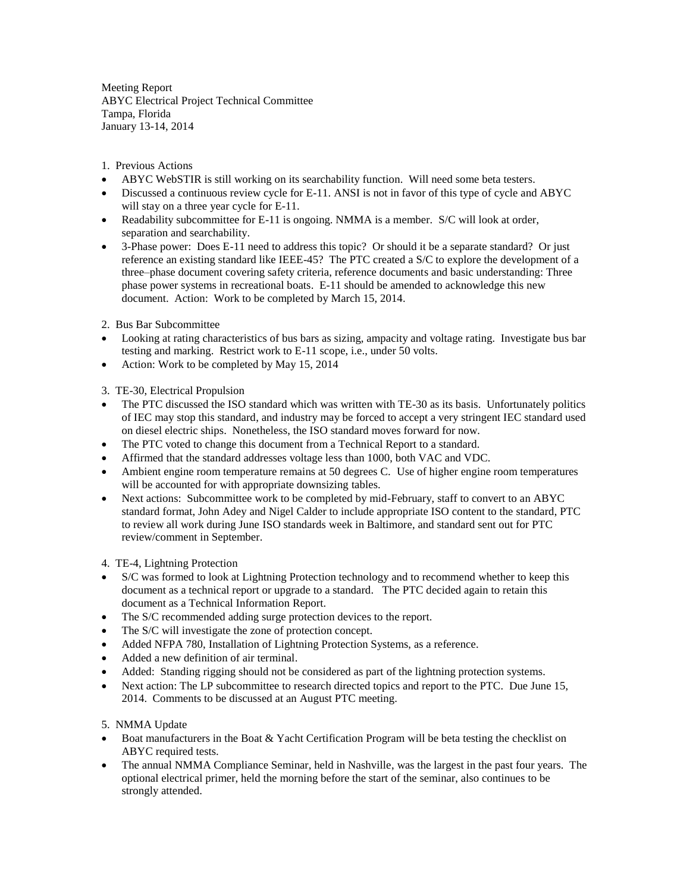Meeting Report ABYC Electrical Project Technical Committee Tampa, Florida January 13-14, 2014

1. Previous Actions

- ABYC WebSTIR is still working on its searchability function. Will need some beta testers.
- Discussed a continuous review cycle for E-11. ANSI is not in favor of this type of cycle and ABYC will stay on a three year cycle for E-11.
- Readability subcommittee for E-11 is ongoing. NMMA is a member. S/C will look at order, separation and searchability.
- 3-Phase power: Does E-11 need to address this topic? Or should it be a separate standard? Or just reference an existing standard like IEEE-45? The PTC created a S/C to explore the development of a three–phase document covering safety criteria, reference documents and basic understanding: Three phase power systems in recreational boats. E-11 should be amended to acknowledge this new document. Action: Work to be completed by March 15, 2014.

2. Bus Bar Subcommittee

- Looking at rating characteristics of bus bars as sizing, ampacity and voltage rating. Investigate bus bar testing and marking. Restrict work to E-11 scope, i.e., under 50 volts.
- Action: Work to be completed by May 15, 2014

3. TE-30, Electrical Propulsion

- The PTC discussed the ISO standard which was written with TE-30 as its basis. Unfortunately politics of IEC may stop this standard, and industry may be forced to accept a very stringent IEC standard used on diesel electric ships. Nonetheless, the ISO standard moves forward for now.
- The PTC voted to change this document from a Technical Report to a standard.
- Affirmed that the standard addresses voltage less than 1000, both VAC and VDC.
- Ambient engine room temperature remains at 50 degrees C. Use of higher engine room temperatures will be accounted for with appropriate downsizing tables.
- Next actions: Subcommittee work to be completed by mid-February, staff to convert to an ABYC standard format, John Adey and Nigel Calder to include appropriate ISO content to the standard, PTC to review all work during June ISO standards week in Baltimore, and standard sent out for PTC review/comment in September.

4. TE-4, Lightning Protection

- S/C was formed to look at Lightning Protection technology and to recommend whether to keep this document as a technical report or upgrade to a standard. The PTC decided again to retain this document as a Technical Information Report.
- The S/C recommended adding surge protection devices to the report.
- The S/C will investigate the zone of protection concept.
- Added NFPA 780, Installation of Lightning Protection Systems, as a reference.
- Added a new definition of air terminal.
- Added: Standing rigging should not be considered as part of the lightning protection systems.
- Next action: The LP subcommittee to research directed topics and report to the PTC. Due June 15, 2014. Comments to be discussed at an August PTC meeting.

5. NMMA Update

- Boat manufacturers in the Boat & Yacht Certification Program will be beta testing the checklist on ABYC required tests.
- The annual NMMA Compliance Seminar, held in Nashville, was the largest in the past four years. The optional electrical primer, held the morning before the start of the seminar, also continues to be strongly attended.